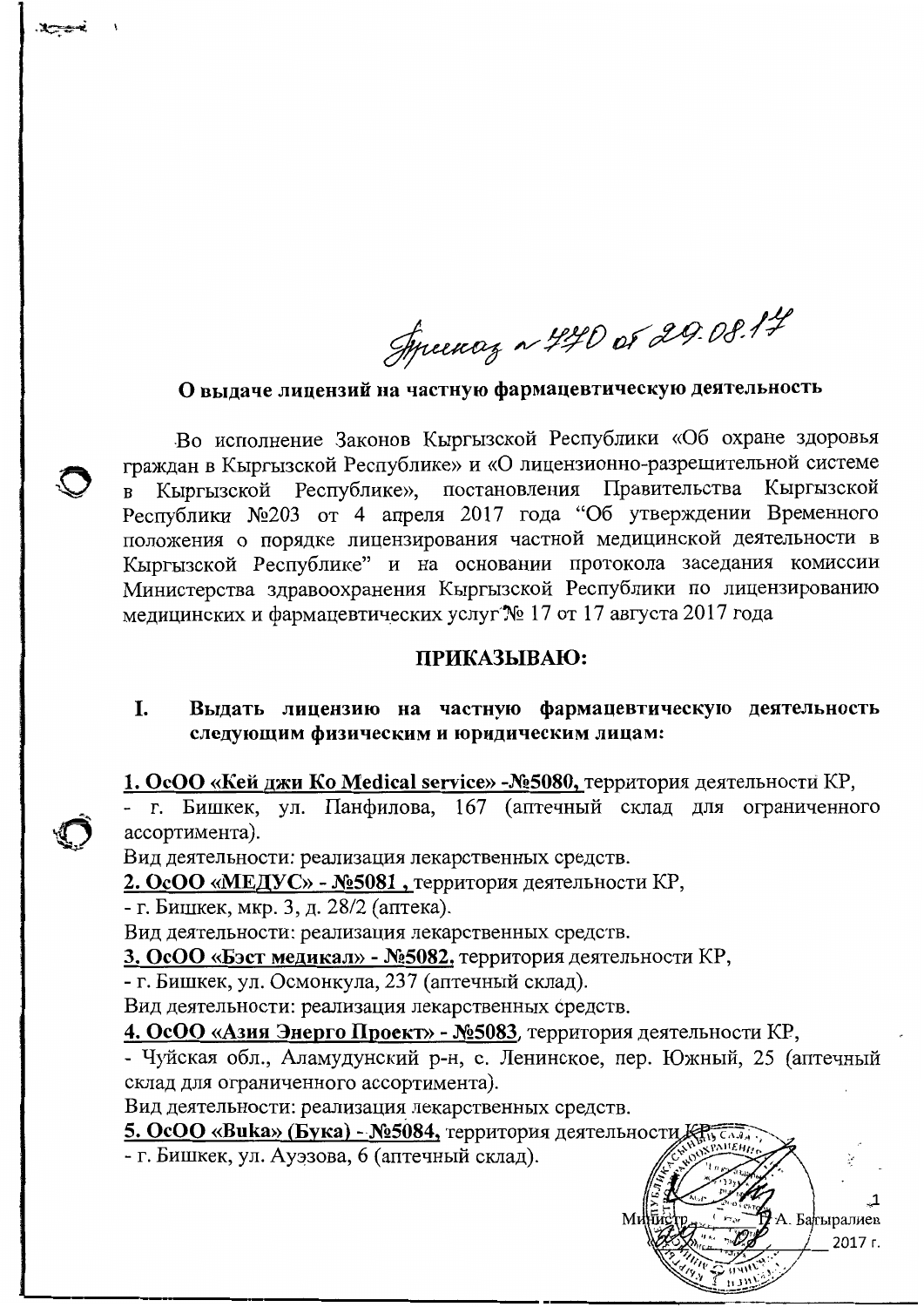Syncency ~ 440 or 29.08.14

О выдаче лицензий на частную фармацевтическую деятельность

Во исполнение Законов Кыргызской Республики «Об охране здоровья граждан в Кыргызской Республике» и «О лицензионно-разрешительной системе Республике», постановления Правительства Кыргызской Кыргызской  $\mathbf{B}$ Республики №203 от 4 апреля 2017 года "Об утверждении Временного положения о порядке лицензирования частной медицинской деятельности в Кыргызской Республике" и на основании протокола заседания комиссии Министерства здравоохранения Кыргызской Республики по лицензированию медицинских и фармацевтических услуг № 17 от 17 августа 2017 года

#### ПРИКАЗЫВАЮ:

Выдать лицензию на частную фармацевтическую деятельность I. следующим физическим и юридическим лицам:

1. ОсОО «Кей джи Ко Medical service» - Nº5080, территория деятельности КР,

- г. Бишкек, ул. Панфилова, 167 (аптечный склад для ограниченного ассортимента).

Вид деятельности: реализация лекарственных средств.

2. ОсОО «МЕДУС» - №5081, территория деятельности КР,

- г. Бишкек, мкр. 3, д. 28/2 (аптека).

Вид деятельности: реализация лекарственных средств.

3. ОсОО «Бэст медикал» - Nº5082, территория деятельности КР,

- г. Бишкек, ул. Осмонкула, 237 (аптечный склад).

Вид деятельности: реализация лекарственных средств.

4. ОсОО «Азия Энерго Проект» - №5083, территория деятельности КР,

- Чуйская обл., Аламудунский р-н, с. Ленинское, пер. Южный, 25 (аптечный склад для ограниченного ассортимента).

А. Батыралиев

2017 г.

Вид деятельности: реализация лекарственных средств.

5. ОсОО «Вика» (Бука) - №5084, территория деятельности

- г. Бишкек, ул. Ауэзова, 6 (аптечный склад).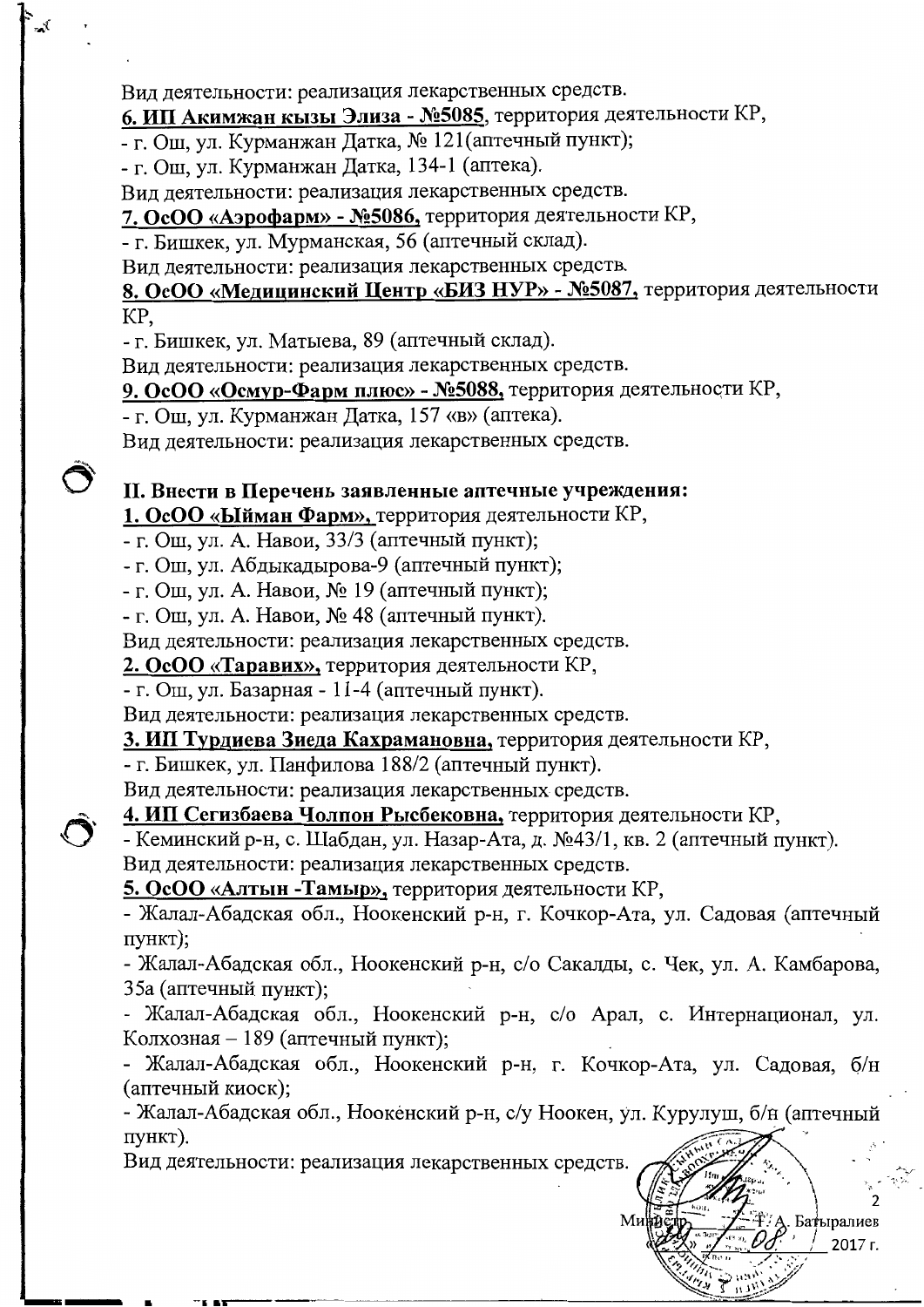Вид деятельности: реализация лекарственных средств.

# 6. ИП Акимжан кызы Элиза - №5085, территория деятельности КР,

- г. Ош, ул. Курманжан Датка, № 121 (аптечный пункт);

- г. Ош, ул. Курманжан Датка, 134-1 (аптека).

Вид деятельности: реализация лекарственных средств.

7. ОсОО «Аэрофарм» - №5086, территория деятельности КР,

- г. Бишкек, ул. Мурманская, 56 (аптечный склад).

Вид деятельности: реализация лекарственных средств.

### 8. ОсОО «Медицинский Центр «БИЗ НУР» - №5087, территория деятельности KP,

- г. Бишкек, ул. Матыева, 89 (аптечный склад).

Вид деятельности: реализация лекарственных средств.

### 9. ОсОО «Осмур-Фарм плюс» - N25088, территория деятельности КР,

- г. Ош, ул. Курманжан Датка, 157 «в» (аптека).

Вид деятельности: реализация лекарственных средств.

### II. Внести в Перечень заявленные аптечные учреждения:

1. ОсОО «Ыйман Фарм», территория деятельности КР,

- г. Ош, ул. А. Навои, 33/3 (аптечный пункт);

- г. Ош, ул. Абдыкадырова-9 (аптечный пункт);

- г. Ош, ул. А. Навои, № 19 (аптечный пункт);

- г. Ош, ул. А. Навои, № 48 (аптечный пункт).

Вид деятельности: реализация лекарственных средств.

2. ОсОО «Таравих», территория деятельности КР,

- г. Ош, ул. Базарная - 11-4 (аптечный пункт).

Вид деятельности: реализация лекарственных средств.

3. ИП Турдиева Зиеда Кахрамановна, территория деятельности КР,

- г. Бишкек, ул. Панфилова 188/2 (аптечный пункт).

Вид деятельности: реализация лекарственных средств.

4. ИП Сегизбаева Чолпон Рысбековна, территория деятельности КР,

- Кеминский р-н, с. Шабдан, ул. Назар-Ата, д. №43/1, кв. 2 (аптечный пункт).

Вид деятельности: реализация лекарственных средств.

5. ОсОО «Алтын - Тамыр», территория деятельности КР,

- Жалал-Абадская обл., Ноокенский р-н, г. Кочкор-Ата, ул. Садовая (аптечный пункт);

- Жалал-Абадская обл., Ноокенский р-н, с/о Сакалды, с. Чек, ул. А. Камбарова, 35а (аптечный пункт);

- Жалал-Абадская обл., Ноокенский р-н, с/о Арал, с. Интернационал, ул. Колхозная – 189 (аптечный пункт);

- Жалал-Абадская обл., Ноокенский р-н, г. Кочкор-Ата, ул. Садовая, б/н (аптечный киоск);

- Жалал-Абадская обл., Ноокенский р-н, с/у Ноокен, ул. Курулуш, б/н (аптечный пункт).

> Батыралиев 2017 г.

Вид деятельности: реализация лекарственных средств.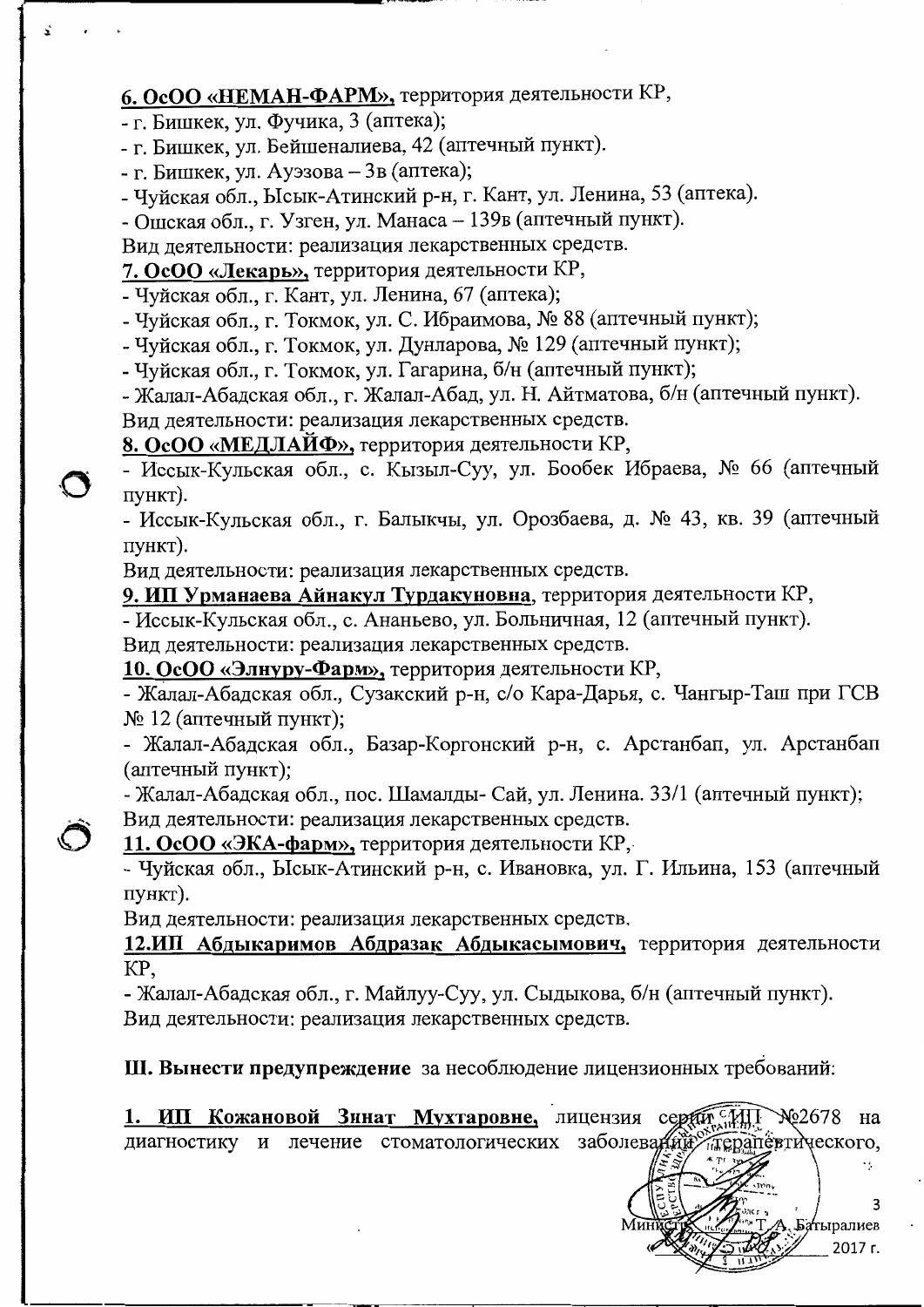# 6. ОсОО «НЕМАН-ФАРМ», территория деятельности КР,

- г. Бишкек, ул. Фучика, 3 (аптека);
- г. Бишкек, ул. Бейшеналиева, 42 (аптечный пункт).
- г. Бишкек, ул. Ауэзова  $3B$  (аптека);
- Чуйская обл., Ысык-Атинский р-н, г. Кант, ул. Ленина, 53 (аптека).

- Ошская обл., г. Узген, ул. Манаса - 139в (аптечный пункт).

Вид деятельности: реализация лекарственных средств.

# 7. ОсОО «Лекарь», территория деятельности КР,

- Чуйская обл., г. Кант, ул. Ленина, 67 (аптека);
- Чуйская обл., г. Токмок, ул. С. Ибраимова, № 88 (аптечный пункт);
- Чуйская обл., г. Токмок, ул. Дунларова, № 129 (аптечный пункт);
- Чуйская обл., г. Токмок, ул. Гагарина, б/н (аптечный пункт);

- Жалал-Абадская обл., г. Жалал-Абад, ул. Н. Айтматова, б/н (аптечный пункт).

Вид деятельности: реализация лекарственных средств.

8. ОсОО «МЕДЛАЙФ», территория деятельности КР,

- Иссык-Кульская обл., с. Кызыл-Суу, ул. Бообек Ибраева, № 66 (аптечный пункт).

- Иссык-Кульская обл., г. Балыкчы, ул. Орозбаева, д. № 43, кв. 39 (аптечный пункт).

Вид деятельности: реализация лекарственных средств.

9. ИП Урманаева Айнакул Турдакуновна, территория деятельности КР,

- Иссык-Кульская обл., с. Ананьево, ул. Больничная, 12 (аптечный пункт). Вид деятельности: реализация лекарственных средств.

10. ОсОО «Элнуру-Фарм», территория деятельности КР,

- Жалал-Абадская обл., Сузакский р-н, с/о Кара-Дарья, с. Чангыр-Таш при ГСВ № 12 (аптечный пункт);

- Жалал-Абадская обл., Базар-Коргонский р-н, с. Арстанбап, ул. Арстанбап (аптечный пункт);

- Жалал-Абадская обл., пос. Шамалды-Сай, ул. Ленина. 33/1 (аптечный пункт); Вид деятельности: реализация лекарственных средств.

11. ОсОО «ЭКА-фарм», территория деятельности КР,

- Чуйская обл., Ысык-Атинский р-н, с. Ивановка, ул. Г. Ильина, 153 (аптечный пункт).

Вид деятельности: реализация лекарственных средств.

12.ИП Абдыкаримов Абдразак Абдыкасымович, территория деятельности KP,

- Жалал-Абадская обл., г. Майлуу-Суу, ул. Сыдыкова, б/н (аптечный пункт). Вид деятельности: реализация лекарственных средств.

Ш. Вынести предупреждение за несоблюдение лицензионных требований:

1. ИП Кожановой Зинат Мухтаровне, лицензия серди Ме2678 на диагностику и лечение стоматологических заболеваний терапевтического,

2017 г.